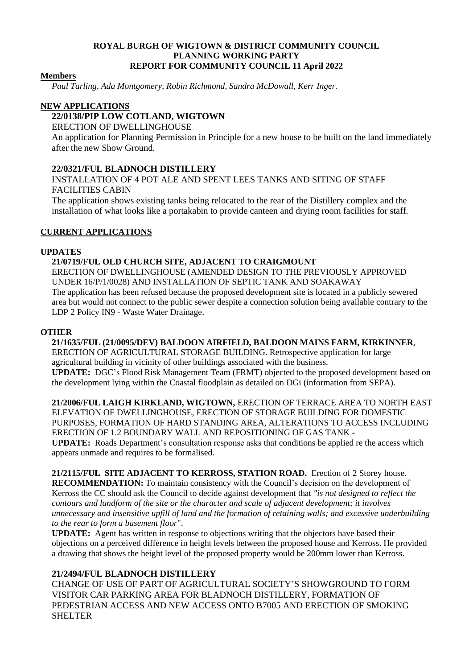#### **ROYAL BURGH OF WIGTOWN & DISTRICT COMMUNITY COUNCIL PLANNING WORKING PARTY REPORT FOR COMMUNITY COUNCIL 11 April 2022**

#### **Members**

*Paul Tarling, Ada Montgomery, Robin Richmond, Sandra McDowall, Kerr Inger.*

### **NEW APPLICATIONS**

## **22/0138/PIP LOW COTLAND, WIGTOWN**

#### ERECTION OF DWELLINGHOUSE

An application for Planning Permission in Principle for a new house to be built on the land immediately after the new Show Ground.

## **22/0321/FUL BLADNOCH DISTILLERY**

INSTALLATION OF 4 POT ALE AND SPENT LEES TANKS AND SITING OF STAFF FACILITIES CABIN

The application shows existing tanks being relocated to the rear of the Distillery complex and the installation of what looks like a portakabin to provide canteen and drying room facilities for staff.

### **CURRENT APPLICATIONS**

### **UPDATES**

#### **21/0719/FUL OLD CHURCH SITE, ADJACENT TO CRAIGMOUNT** ERECTION OF DWELLINGHOUSE (AMENDED DESIGN TO THE PREVIOUSLY APPROVED UNDER 16/P/1/0028) AND INSTALLATION OF SEPTIC TANK AND SOAKAWAY

The application has been refused because the proposed development site is located in a publicly sewered area but would not connect to the public sewer despite a connection solution being available contrary to the LDP 2 Policy IN9 - Waste Water Drainage.

### **OTHER**

**21/1635/FUL (21/0095/DEV) BALDOON AIRFIELD, BALDOON MAINS FARM, KIRKINNER**, ERECTION OF AGRICULTURAL STORAGE BUILDING. Retrospective application for large agricultural building in vicinity of other buildings associated with the business. **UPDATE:** DGC's Flood Risk Management Team (FRMT) objected to the proposed development based on the development lying within the Coastal floodplain as detailed on DGi (information from SEPA).

**21/2006/FUL LAIGH KIRKLAND, WIGTOWN,** ERECTION OF TERRACE AREA TO NORTH EAST ELEVATION OF DWELLINGHOUSE, ERECTION OF STORAGE BUILDING FOR DOMESTIC PURPOSES, FORMATION OF HARD STANDING AREA, ALTERATIONS TO ACCESS INCLUDING ERECTION OF 1.2 BOUNDARY WALL AND REPOSITIONING OF GAS TANK - **UPDATE:** Roads Department's consultation response asks that conditions be applied re the access which appears unmade and requires to be formalised.

**21/2115/FUL SITE ADJACENT TO KERROSS, STATION ROAD.** Erection of 2 Storey house. **RECOMMENDATION:** To maintain consistency with the Council's decision on the development of Kerross the CC should ask the Council to decide against development that *"is not designed to reflect the contours and landform of the site or the character and scale of adjacent development; it involves unnecessary and insensitive upfill of land and the formation of retaining walls; and excessive underbuilding to the rear to form a basement floor*".

**UPDATE:** Agent has written in response to objections writing that the objectors have based their objections on a perceived difference in height levels between the proposed house and Kerross. He provided a drawing that shows the height level of the proposed property would be 200mm lower than Kerross.

## **21/2494/FUL BLADNOCH DISTILLERY**

CHANGE OF USE OF PART OF AGRICULTURAL SOCIETY'S SHOWGROUND TO FORM VISITOR CAR PARKING AREA FOR BLADNOCH DISTILLERY, FORMATION OF PEDESTRIAN ACCESS AND NEW ACCESS ONTO B7005 AND ERECTION OF SMOKING SHELTER